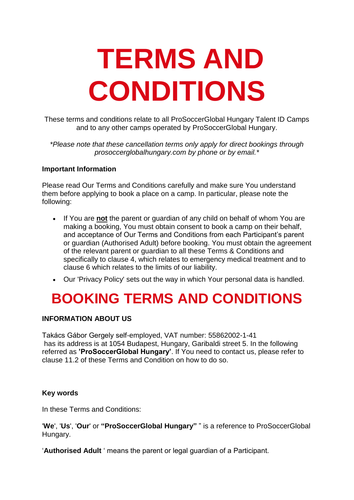# **TERMS AND CONDITIONS**

These terms and conditions relate to all ProSoccerGlobal Hungary Talent ID Camps and to any other camps operated by ProSoccerGlobal Hungary.

*\*Please note that these cancellation terms only apply for direct bookings through prosoccerglobalhungary.com by phone or by email.\**

#### **Important Information**

Please read Our Terms and Conditions carefully and make sure You understand them before applying to book a place on a camp. In particular, please note the following:

- If You are **not** the parent or guardian of any child on behalf of whom You are making a booking, You must obtain consent to book a camp on their behalf, and acceptance of Our Terms and Conditions from each Participant's parent or guardian (Authorised Adult) before booking. You must obtain the agreement of the relevant parent or guardian to all these Terms & Conditions and specifically to clause 4, which relates to emergency medical treatment and to clause 6 which relates to the limits of our liability.
- Our 'Privacy Policy' sets out the way in which Your personal data is handled.

## **BOOKING TERMS AND CONDITIONS**

#### **INFORMATION ABOUT US**

Takács Gábor Gergely self-employed, VAT number: 55862002-1-41 has its address is at 1054 Budapest, Hungary, Garibaldi street 5. In the following referred as **'ProSoccerGlobal Hungary'**. If You need to contact us, please refer to clause 11.2 of these Terms and Condition on how to do so.

#### **Key words**

In these Terms and Conditions:

'**We**', '**Us**', '**Our**' or **"ProSoccerGlobal Hungary"** " is a reference to ProSoccerGlobal Hungary.

'**Authorised Adult** ' means the parent or legal guardian of a Participant.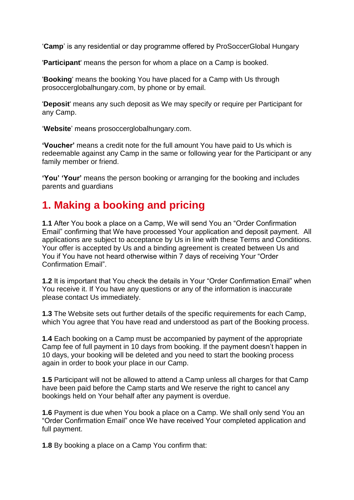'**Camp**' is any residential or day programme offered by ProSoccerGlobal Hungary

'**Participant**' means the person for whom a place on a Camp is booked.

'**Booking**' means the booking You have placed for a Camp with Us through prosoccerglobalhungary.com, by phone or by email.

'**Deposit**' means any such deposit as We may specify or require per Participant for any Camp.

'**Website**' means prosoccerglobalhungary.com.

**'Voucher'** means a credit note for the full amount You have paid to Us which is redeemable against any Camp in the same or following year for the Participant or any family member or friend.

**'You' 'Your'** means the person booking or arranging for the booking and includes parents and guardians

## **1. Making a booking and pricing**

**1.1** After You book a place on a Camp, We will send You an "Order Confirmation Email" confirming that We have processed Your application and deposit payment. All applications are subject to acceptance by Us in line with these Terms and Conditions. Your offer is accepted by Us and a binding agreement is created between Us and You if You have not heard otherwise within 7 days of receiving Your "Order Confirmation Email".

**1.2** It is important that You check the details in Your "Order Confirmation Email" when You receive it. If You have any questions or any of the information is inaccurate please contact Us immediately.

**1.3** The Website sets out further details of the specific requirements for each Camp, which You agree that You have read and understood as part of the Booking process.

**1.4** Each booking on a Camp must be accompanied by payment of the appropriate Camp fee of full payment in 10 days from booking. If the payment doesn't happen in 10 days, your booking will be deleted and you need to start the booking process again in order to book your place in our Camp.

**1.5** Participant will not be allowed to attend a Camp unless all charges for that Camp have been paid before the Camp starts and We reserve the right to cancel any bookings held on Your behalf after any payment is overdue.

**1.6** Payment is due when You book a place on a Camp. We shall only send You an "Order Confirmation Email" once We have received Your completed application and full payment.

**1.8** By booking a place on a Camp You confirm that: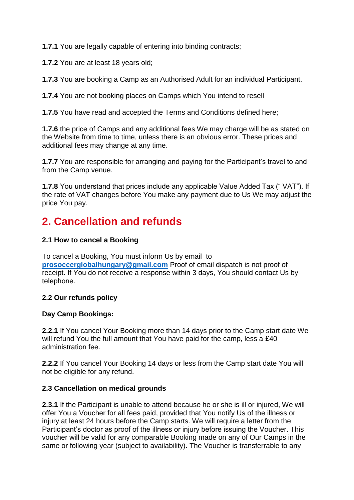**1.7.1** You are legally capable of entering into binding contracts;

**1.7.2** You are at least 18 years old;

**1.7.3** You are booking a Camp as an Authorised Adult for an individual Participant.

**1.7.4** You are not booking places on Camps which You intend to resell

**1.7.5** You have read and accepted the Terms and Conditions defined here;

**1.7.6** the price of Camps and any additional fees We may charge will be as stated on the Website from time to time, unless there is an obvious error. These prices and additional fees may change at any time.

**1.7.7** You are responsible for arranging and paying for the Participant's travel to and from the Camp venue.

**1.7.8** You understand that prices include any applicable Value Added Tax (" VAT"). If the rate of VAT changes before You make any payment due to Us We may adjust the price You pay.

## **2. Cancellation and refunds**

#### **2.1 How to cancel a Booking**

To cancel a Booking, You must inform Us by email to **[prosoccerglobalhungary@gmail.com](mailto:prosoccerglobalhungary@gmail.com)** Proof of email dispatch is not proof of receipt. If You do not receive a response within 3 days, You should contact Us by telephone.

#### **2.2 Our refunds policy**

#### **Day Camp Bookings:**

**2.2.1** If You cancel Your Booking more than 14 days prior to the Camp start date We will refund You the full amount that You have paid for the camp, less a £40 administration fee.

**2.2.2** If You cancel Your Booking 14 days or less from the Camp start date You will not be eligible for any refund.

#### **2.3 Cancellation on medical grounds**

**2.3.1** If the Participant is unable to attend because he or she is ill or injured, We will offer You a Voucher for all fees paid, provided that You notify Us of the illness or injury at least 24 hours before the Camp starts. We will require a letter from the Participant's doctor as proof of the illness or injury before issuing the Voucher. This voucher will be valid for any comparable Booking made on any of Our Camps in the same or following year (subject to availability). The Voucher is transferrable to any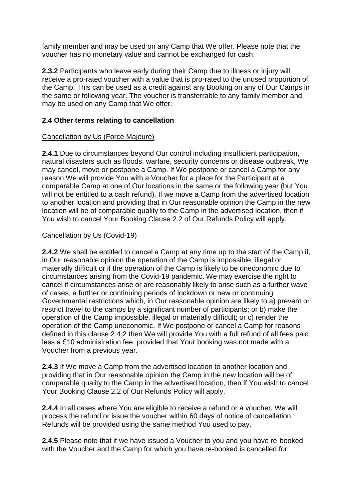family member and may be used on any Camp that We offer. Please note that the voucher has no monetary value and cannot be exchanged for cash.

**2.3.2** Participants who leave early during their Camp due to illness or injury will receive a pro-rated voucher with a value that is pro-rated to the unused proportion of the Camp. This can be used as a credit against any Booking on any of Our Camps in the same or following year. The voucher is transferrable to any family member and may be used on any Camp that We offer.

#### **2.4 Other terms relating to cancellation**

#### Cancellation by Us (Force Majeure)

**2.4.1** Due to circumstances beyond Our control including insufficient participation, natural disasters such as floods, warfare, security concerns or disease outbreak, We may cancel, move or postpone a Camp. If We postpone or cancel a Camp for any reason We will provide You with a Voucher for a place for the Participant at a comparable Camp at one of Our locations in the same or the following year (but You will not be entitled to a cash refund). If we move a Camp from the advertised location to another location and providing that in Our reasonable opinion the Camp in the new location will be of comparable quality to the Camp in the advertised location, then if You wish to cancel Your Booking Clause 2.2 of Our Refunds Policy will apply.

#### Cancellation by Us (Covid-19)

**2.4.2** We shall be entitled to cancel a Camp at any time up to the start of the Camp if, in Our reasonable opinion the operation of the Camp is impossible, illegal or materially difficult or if the operation of the Camp is likely to be uneconomic due to circumstances arising from the Covid-19 pandemic. We may exercise the right to cancel if circumstances arise or are reasonably likely to arise such as a further wave of cases, a further or continuing periods of lockdown or new or continuing Governmental restrictions which, in Our reasonable opinion are likely to a) prevent or restrict travel to the camps by a significant number of participants; or b) make the operation of the Camp impossible, illegal or materially difficult; or c) render the operation of the Camp uneconomic. If We postpone or cancel a Camp for reasons defined in this clause 2.4.2 then We will provide You with a full refund of all fees paid, less a £10 administration fee, provided that Your booking was not made with a Voucher from a previous year.

**2.4.3** If We move a Camp from the advertised location to another location and providing that in Our reasonable opinion the Camp in the new location will be of comparable quality to the Camp in the advertised location, then if You wish to cancel Your Booking Clause 2.2 of Our Refunds Policy will apply.

**2.4.4** In all cases where You are eligible to receive a refund or a voucher, We will process the refund or issue the voucher within 60 days of notice of cancellation. Refunds will be provided using the same method You used to pay.

**2.4.5** Please note that if we have issued a Voucher to you and you have re-booked with the Voucher and the Camp for which you have re-booked is cancelled for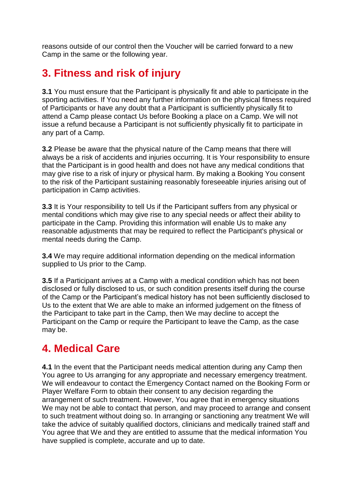reasons outside of our control then the Voucher will be carried forward to a new Camp in the same or the following year.

## **3. Fitness and risk of injury**

**3.1** You must ensure that the Participant is physically fit and able to participate in the sporting activities. If You need any further information on the physical fitness required of Participants or have any doubt that a Participant is sufficiently physically fit to attend a Camp please contact Us before Booking a place on a Camp. We will not issue a refund because a Participant is not sufficiently physically fit to participate in any part of a Camp.

**3.2** Please be aware that the physical nature of the Camp means that there will always be a risk of accidents and injuries occurring. It is Your responsibility to ensure that the Participant is in good health and does not have any medical conditions that may give rise to a risk of injury or physical harm. By making a Booking You consent to the risk of the Participant sustaining reasonably foreseeable injuries arising out of participation in Camp activities.

**3.3** It is Your responsibility to tell Us if the Participant suffers from any physical or mental conditions which may give rise to any special needs or affect their ability to participate in the Camp. Providing this information will enable Us to make any reasonable adjustments that may be required to reflect the Participant's physical or mental needs during the Camp.

**3.4** We may require additional information depending on the medical information supplied to Us prior to the Camp.

**3.5** If a Participant arrives at a Camp with a medical condition which has not been disclosed or fully disclosed to us, or such condition presents itself during the course of the Camp or the Participant's medical history has not been sufficiently disclosed to Us to the extent that We are able to make an informed judgement on the fitness of the Participant to take part in the Camp, then We may decline to accept the Participant on the Camp or require the Participant to leave the Camp, as the case may be.

### **4. Medical Care**

**4.1** In the event that the Participant needs medical attention during any Camp then You agree to Us arranging for any appropriate and necessary emergency treatment. We will endeavour to contact the Emergency Contact named on the Booking Form or Player Welfare Form to obtain their consent to any decision regarding the arrangement of such treatment. However, You agree that in emergency situations We may not be able to contact that person, and may proceed to arrange and consent to such treatment without doing so. In arranging or sanctioning any treatment We will take the advice of suitably qualified doctors, clinicians and medically trained staff and You agree that We and they are entitled to assume that the medical information You have supplied is complete, accurate and up to date.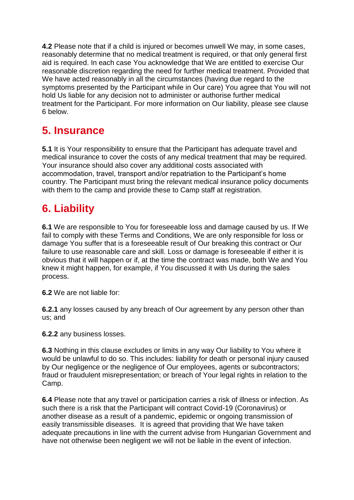**4.2** Please note that if a child is injured or becomes unwell We may, in some cases, reasonably determine that no medical treatment is required, or that only general first aid is required. In each case You acknowledge that We are entitled to exercise Our reasonable discretion regarding the need for further medical treatment. Provided that We have acted reasonably in all the circumstances (having due regard to the symptoms presented by the Participant while in Our care) You agree that You will not hold Us liable for any decision not to administer or authorise further medical treatment for the Participant. For more information on Our liability, please see clause 6 below.

## **5. Insurance**

**5.1** It is Your responsibility to ensure that the Participant has adequate travel and medical insurance to cover the costs of any medical treatment that may be required. Your insurance should also cover any additional costs associated with accommodation, travel, transport and/or repatriation to the Participant's home country. The Participant must bring the relevant medical insurance policy documents with them to the camp and provide these to Camp staff at registration.

## **6. Liability**

**6.1** We are responsible to You for foreseeable loss and damage caused by us. If We fail to comply with these Terms and Conditions, We are only responsible for loss or damage You suffer that is a foreseeable result of Our breaking this contract or Our failure to use reasonable care and skill. Loss or damage is foreseeable if either it is obvious that it will happen or if, at the time the contract was made, both We and You knew it might happen, for example, if You discussed it with Us during the sales process.

**6.2** We are not liable for:

**6.2.1** any losses caused by any breach of Our agreement by any person other than us; and

**6.2.2** any business losses.

**6.3** Nothing in this clause excludes or limits in any way Our liability to You where it would be unlawful to do so. This includes: liability for death or personal injury caused by Our negligence or the negligence of Our employees, agents or subcontractors; fraud or fraudulent misrepresentation; or breach of Your legal rights in relation to the Camp.

**6.4** Please note that any travel or participation carries a risk of illness or infection. As such there is a risk that the Participant will contract Covid-19 (Coronavirus) or another disease as a result of a pandemic, epidemic or ongoing transmission of easily transmissible diseases. It is agreed that providing that We have taken adequate precautions in line with the current advise from Hungarian Government and have not otherwise been negligent we will not be liable in the event of infection.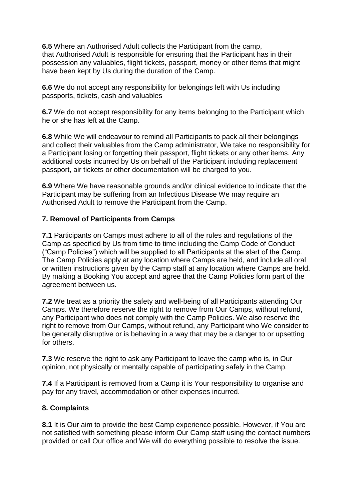**6.5** Where an Authorised Adult collects the Participant from the camp, that Authorised Adult is responsible for ensuring that the Participant has in their possession any valuables, flight tickets, passport, money or other items that might have been kept by Us during the duration of the Camp.

**6.6** We do not accept any responsibility for belongings left with Us including passports, tickets, cash and valuables

**6.7** We do not accept responsibility for any items belonging to the Participant which he or she has left at the Camp.

**6.8** While We will endeavour to remind all Participants to pack all their belongings and collect their valuables from the Camp administrator, We take no responsibility for a Participant losing or forgetting their passport, flight tickets or any other items. Any additional costs incurred by Us on behalf of the Participant including replacement passport, air tickets or other documentation will be charged to you.

**6.9** Where We have reasonable grounds and/or clinical evidence to indicate that the Participant may be suffering from an Infectious Disease We may require an Authorised Adult to remove the Participant from the Camp.

#### **7. Removal of Participants from Camps**

**7.1** Participants on Camps must adhere to all of the rules and regulations of the Camp as specified by Us from time to time including the Camp Code of Conduct ("Camp Policies") which will be supplied to all Participants at the start of the Camp. The Camp Policies apply at any location where Camps are held, and include all oral or written instructions given by the Camp staff at any location where Camps are held. By making a Booking You accept and agree that the Camp Policies form part of the agreement between us.

**7.2** We treat as a priority the safety and well-being of all Participants attending Our Camps. We therefore reserve the right to remove from Our Camps, without refund, any Participant who does not comply with the Camp Policies. We also reserve the right to remove from Our Camps, without refund, any Participant who We consider to be generally disruptive or is behaving in a way that may be a danger to or upsetting for others.

**7.3** We reserve the right to ask any Participant to leave the camp who is, in Our opinion, not physically or mentally capable of participating safely in the Camp.

**7.4** If a Participant is removed from a Camp it is Your responsibility to organise and pay for any travel, accommodation or other expenses incurred.

#### **8. Complaints**

**8.1** It is Our aim to provide the best Camp experience possible. However, if You are not satisfied with something please inform Our Camp staff using the contact numbers provided or call Our office and We will do everything possible to resolve the issue.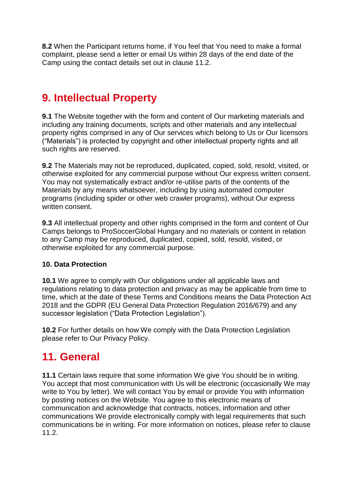**8.2** When the Participant returns home, if You feel that You need to make a formal complaint, please send a letter or email Us within 28 days of the end date of the Camp using the contact details set out in clause 11.2.

## **9. Intellectual Property**

**9.1** The Website together with the form and content of Our marketing materials and including any training documents, scripts and other materials and any intellectual property rights comprised in any of Our services which belong to Us or Our licensors ("Materials") is protected by copyright and other intellectual property rights and all such rights are reserved.

**9.2** The Materials may not be reproduced, duplicated, copied, sold, resold, visited, or otherwise exploited for any commercial purpose without Our express written consent. You may not systematically extract and/or re-utilise parts of the contents of the Materials by any means whatsoever, including by using automated computer programs (including spider or other web crawler programs), without Our express written consent.

**9.3** All intellectual property and other rights comprised in the form and content of Our Camps belongs to ProSoccerGlobal Hungary and no materials or content in relation to any Camp may be reproduced, duplicated, copied, sold, resold, visited, or otherwise exploited for any commercial purpose.

#### **10. Data Protection**

**10.1** We agree to comply with Our obligations under all applicable laws and regulations relating to data protection and privacy as may be applicable from time to time, which at the date of these Terms and Conditions means the Data Protection Act 2018 and the GDPR (EU General Data Protection Regulation 2016/679) and any successor legislation ("Data Protection Legislation").

**10.2** For further details on how We comply with the Data Protection Legislation please refer to Our Privacy Policy.

## **11. General**

**11.1** Certain laws require that some information We give You should be in writing. You accept that most communication with Us will be electronic (occasionally We may write to You by letter). We will contact You by email or provide You with information by posting notices on the Website. You agree to this electronic means of communication and acknowledge that contracts, notices, information and other communications We provide electronically comply with legal requirements that such communications be in writing. For more information on notices, please refer to clause 11.2.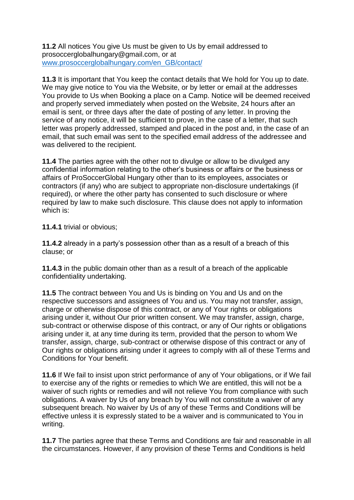**11.2** All notices You give Us must be given to Us by email addressed to prosoccerglobalhungary@gmail.com, or at [www.prosoccerglobalhungary.com/en\\_GB/contact/](http://www.prosoccerglobalhungary.com/en_GB/contact/)

**11.3** It is important that You keep the contact details that We hold for You up to date. We may give notice to You via the Website, or by letter or email at the addresses You provide to Us when Booking a place on a Camp. Notice will be deemed received and properly served immediately when posted on the Website, 24 hours after an email is sent, or three days after the date of posting of any letter. In proving the service of any notice, it will be sufficient to prove, in the case of a letter, that such letter was properly addressed, stamped and placed in the post and, in the case of an email, that such email was sent to the specified email address of the addressee and was delivered to the recipient.

**11.4** The parties agree with the other not to divulge or allow to be divulged any confidential information relating to the other's business or affairs or the business or affairs of ProSoccerGlobal Hungary other than to its employees, associates or contractors (if any) who are subject to appropriate non-disclosure undertakings (if required), or where the other party has consented to such disclosure or where required by law to make such disclosure. This clause does not apply to information which is:

**11.4.1** trivial or obvious;

**11.4.2** already in a party's possession other than as a result of a breach of this clause; or

**11.4.3** in the public domain other than as a result of a breach of the applicable confidentiality undertaking.

**11.5** The contract between You and Us is binding on You and Us and on the respective successors and assignees of You and us. You may not transfer, assign, charge or otherwise dispose of this contract, or any of Your rights or obligations arising under it, without Our prior written consent. We may transfer, assign, charge, sub-contract or otherwise dispose of this contract, or any of Our rights or obligations arising under it, at any time during its term, provided that the person to whom We transfer, assign, charge, sub-contract or otherwise dispose of this contract or any of Our rights or obligations arising under it agrees to comply with all of these Terms and Conditions for Your benefit.

**11.6** If We fail to insist upon strict performance of any of Your obligations, or if We fail to exercise any of the rights or remedies to which We are entitled, this will not be a waiver of such rights or remedies and will not relieve You from compliance with such obligations. A waiver by Us of any breach by You will not constitute a waiver of any subsequent breach. No waiver by Us of any of these Terms and Conditions will be effective unless it is expressly stated to be a waiver and is communicated to You in writing.

**11.7** The parties agree that these Terms and Conditions are fair and reasonable in all the circumstances. However, if any provision of these Terms and Conditions is held